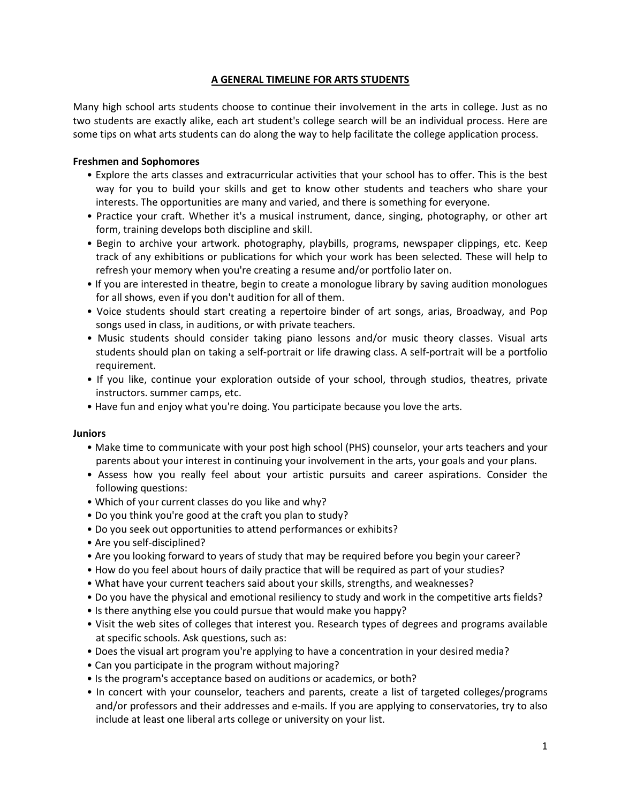# **A GENERAL TIMELINE FOR ARTS STUDENTS**

Many high school arts students choose to continue their involvement in the arts in college. Just as no two students are exactly alike, each art student's college search will be an individual process. Here are some tips on what arts students can do along the way to help facilitate the college application process.

# **Freshmen and Sophomores**

- Explore the arts classes and extracurricular activities that your school has to offer. This is the best way for you to build your skills and get to know other students and teachers who share your interests. The opportunities are many and varied, and there is something for everyone.
- Practice your craft. Whether it's a musical instrument, dance, singing, photography, or other art form, training develops both discipline and skill.
- Begin to archive your artwork. photography, playbills, programs, newspaper clippings, etc. Keep track of any exhibitions or publications for which your work has been selected. These will help to refresh your memory when you're creating a resume and/or portfolio later on.
- If you are interested in theatre, begin to create a monologue library by saving audition monologues for all shows, even if you don't audition for all of them.
- Voice students should start creating a repertoire binder of art songs, arias, Broadway, and Pop songs used in class, in auditions, or with private teachers.
- Music students should consider taking piano lessons and/or music theory classes. Visual arts students should plan on taking a self-portrait or life drawing class. A self-portrait will be a portfolio requirement.
- If you like, continue your exploration outside of your school, through studios, theatres, private instructors. summer camps, etc.
- Have fun and enjoy what you're doing. You participate because you love the arts.

# **Juniors**

- Make time to communicate with your post high school (PHS) counselor, your arts teachers and your parents about your interest in continuing your involvement in the arts, your goals and your plans.
- Assess how you really feel about your artistic pursuits and career aspirations. Consider the following questions:
- Which of your current classes do you like and why?
- Do you think you're good at the craft you plan to study?
- Do you seek out opportunities to attend performances or exhibits?
- Are you self-disciplined?
- Are you looking forward to years of study that may be required before you begin your career?
- How do you feel about hours of daily practice that will be required as part of your studies?
- What have your current teachers said about your skills, strengths, and weaknesses?
- Do you have the physical and emotional resiliency to study and work in the competitive arts fields?
- Is there anything else you could pursue that would make you happy?
- Visit the web sites of colleges that interest you. Research types of degrees and programs available at specific schools. Ask questions, such as:
- Does the visual art program you're applying to have a concentration in your desired media?
- Can you participate in the program without majoring?
- Is the program's acceptance based on auditions or academics, or both?
- In concert with your counselor, teachers and parents, create a list of targeted colleges/programs and/or professors and their addresses and e-mails. If you are applying to conservatories, try to also include at least one liberal arts college or university on your list.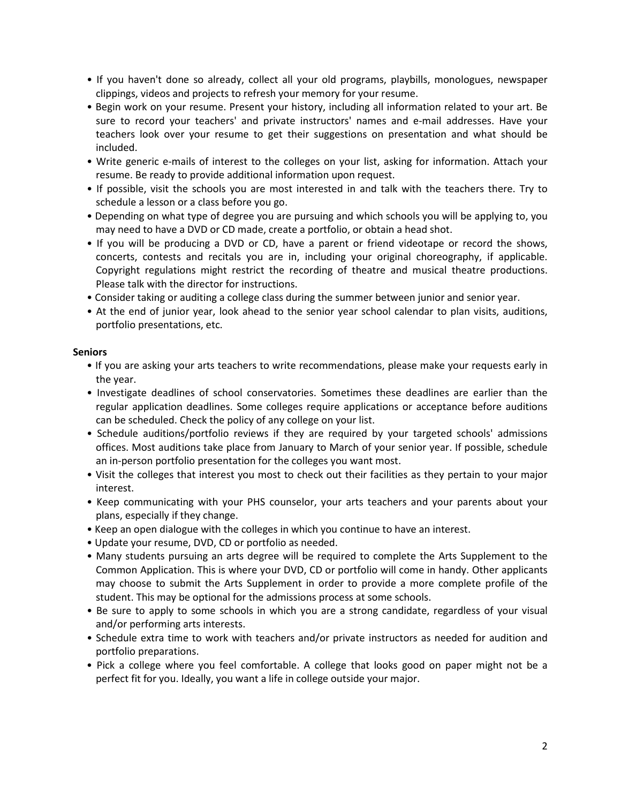- If you haven't done so already, collect all your old programs, playbills, monologues, newspaper clippings, videos and projects to refresh your memory for your resume.
- Begin work on your resume. Present your history, including all information related to your art. Be sure to record your teachers' and private instructors' names and e-mail addresses. Have your teachers look over your resume to get their suggestions on presentation and what should be included.
- Write generic e-mails of interest to the colleges on your list, asking for information. Attach your resume. Be ready to provide additional information upon request.
- If possible, visit the schools you are most interested in and talk with the teachers there. Try to schedule a lesson or a class before you go.
- Depending on what type of degree you are pursuing and which schools you will be applying to, you may need to have a DVD or CD made, create a portfolio, or obtain a head shot.
- If you will be producing a DVD or CD, have a parent or friend videotape or record the shows, concerts, contests and recitals you are in, including your original choreography, if applicable. Copyright regulations might restrict the recording of theatre and musical theatre productions. Please talk with the director for instructions.
- Consider taking or auditing a college class during the summer between junior and senior year.
- At the end of junior year, look ahead to the senior year school calendar to plan visits, auditions, portfolio presentations, etc.

#### **Seniors**

- If you are asking your arts teachers to write recommendations, please make your requests early in the year.
- Investigate deadlines of school conservatories. Sometimes these deadlines are earlier than the regular application deadlines. Some colleges require applications or acceptance before auditions can be scheduled. Check the policy of any college on your list.
- Schedule auditions/portfolio reviews if they are required by your targeted schools' admissions offices. Most auditions take place from January to March of your senior year. If possible, schedule an in-person portfolio presentation for the colleges you want most.
- Visit the colleges that interest you most to check out their facilities as they pertain to your major interest.
- Keep communicating with your PHS counselor, your arts teachers and your parents about your plans, especially if they change.
- Keep an open dialogue with the colleges in which you continue to have an interest.
- Update your resume, DVD, CD or portfolio as needed.
- Many students pursuing an arts degree will be required to complete the Arts Supplement to the Common Application. This is where your DVD, CD or portfolio will come in handy. Other applicants may choose to submit the Arts Supplement in order to provide a more complete profile of the student. This may be optional for the admissions process at some schools.
- Be sure to apply to some schools in which you are a strong candidate, regardless of your visual and/or performing arts interests.
- Schedule extra time to work with teachers and/or private instructors as needed for audition and portfolio preparations.
- Pick a college where you feel comfortable. A college that looks good on paper might not be a perfect fit for you. Ideally, you want a life in college outside your major.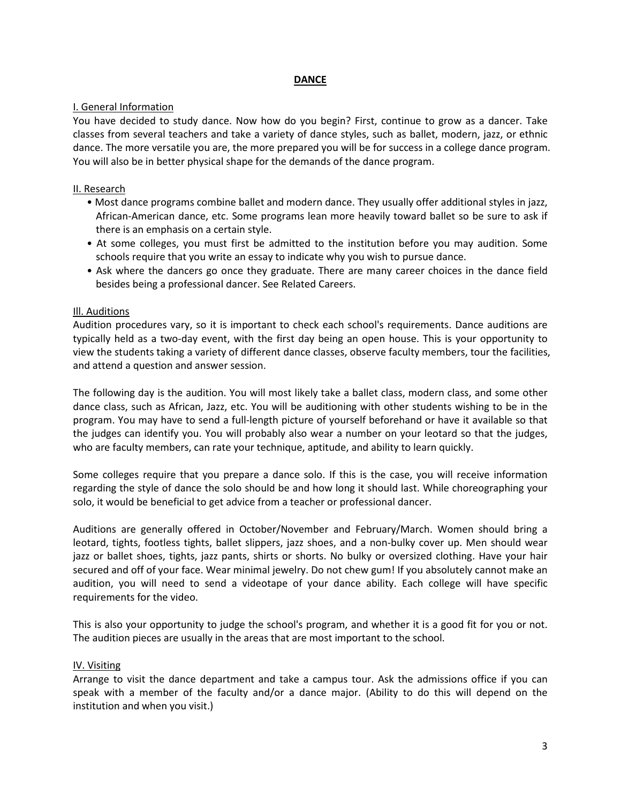## **DANCE**

## I. General Information

You have decided to study dance. Now how do you begin? First, continue to grow as a dancer. Take classes from several teachers and take a variety of dance styles, such as ballet, modern, jazz, or ethnic dance. The more versatile you are, the more prepared you will be for success in a college dance program. You will also be in better physical shape for the demands of the dance program.

## II. Research

- Most dance programs combine ballet and modern dance. They usually offer additional styles in jazz, African-American dance, etc. Some programs lean more heavily toward ballet so be sure to ask if there is an emphasis on a certain style.
- At some colleges, you must first be admitted to the institution before you may audition. Some schools require that you write an essay to indicate why you wish to pursue dance.
- Ask where the dancers go once they graduate. There are many career choices in the dance field besides being a professional dancer. See Related Careers.

### Ill. Auditions

Audition procedures vary, so it is important to check each school's requirements. Dance auditions are typically held as a two-day event, with the first day being an open house. This is your opportunity to view the students taking a variety of different dance classes, observe faculty members, tour the facilities, and attend a question and answer session.

The following day is the audition. You will most likely take a ballet class, modern class, and some other dance class, such as African, Jazz, etc. You will be auditioning with other students wishing to be in the program. You may have to send a full-length picture of yourself beforehand or have it available so that the judges can identify you. You will probably also wear a number on your leotard so that the judges, who are faculty members, can rate your technique, aptitude, and ability to learn quickly.

Some colleges require that you prepare a dance solo. If this is the case, you will receive information regarding the style of dance the solo should be and how long it should last. While choreographing your solo, it would be beneficial to get advice from a teacher or professional dancer.

Auditions are generally offered in October/November and February/March. Women should bring a leotard, tights, footless tights, ballet slippers, jazz shoes, and a non-bulky cover up. Men should wear jazz or ballet shoes, tights, jazz pants, shirts or shorts. No bulky or oversized clothing. Have your hair secured and off of your face. Wear minimal jewelry. Do not chew gum! If you absolutely cannot make an audition, you will need to send a videotape of your dance ability. Each college will have specific requirements for the video.

This is also your opportunity to judge the school's program, and whether it is a good fit for you or not. The audition pieces are usually in the areas that are most important to the school.

#### IV. Visiting

Arrange to visit the dance department and take a campus tour. Ask the admissions office if you can speak with a member of the faculty and/or a dance major. (Ability to do this will depend on the institution and when you visit.)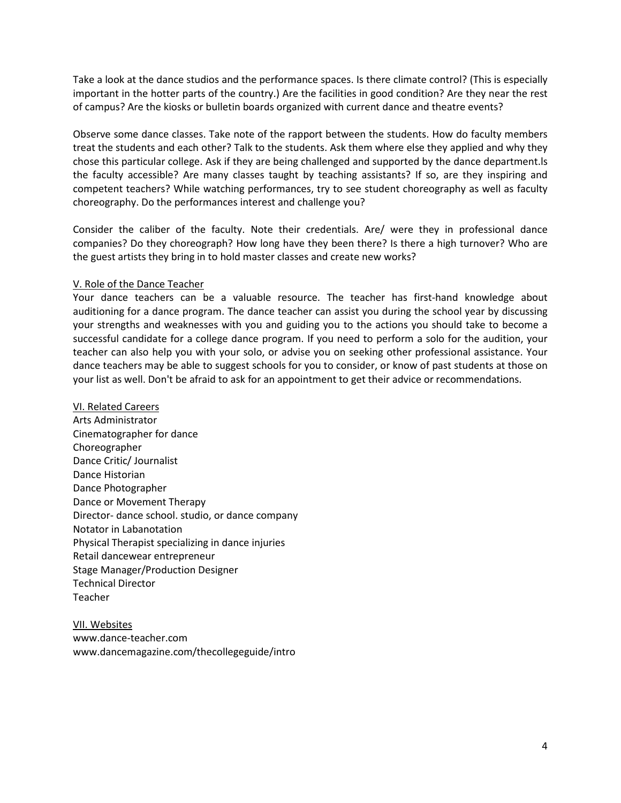Take a look at the dance studios and the performance spaces. Is there climate control? (This is especially important in the hotter parts of the country.) Are the facilities in good condition? Are they near the rest of campus? Are the kiosks or bulletin boards organized with current dance and theatre events?

Observe some dance classes. Take note of the rapport between the students. How do faculty members treat the students and each other? Talk to the students. Ask them where else they applied and why they chose this particular college. Ask if they are being challenged and supported by the dance department.ls the faculty accessible? Are many classes taught by teaching assistants? If so, are they inspiring and competent teachers? While watching performances, try to see student choreography as well as faculty choreography. Do the performances interest and challenge you?

Consider the caliber of the faculty. Note their credentials. Are/ were they in professional dance companies? Do they choreograph? How long have they been there? Is there a high turnover? Who are the guest artists they bring in to hold master classes and create new works?

# V. Role of the Dance Teacher

Your dance teachers can be a valuable resource. The teacher has first-hand knowledge about auditioning for a dance program. The dance teacher can assist you during the school year by discussing your strengths and weaknesses with you and guiding you to the actions you should take to become a successful candidate for a college dance program. If you need to perform a solo for the audition, your teacher can also help you with your solo, or advise you on seeking other professional assistance. Your dance teachers may be able to suggest schools for you to consider, or know of past students at those on your list as well. Don't be afraid to ask for an appointment to get their advice or recommendations.

VI. Related Careers Arts Administrator Cinematographer for dance Choreographer Dance Critic/ Journalist Dance Historian Dance Photographer Dance or Movement Therapy Director- dance school. studio, or dance company Notator in Labanotation Physical Therapist specializing in dance injuries Retail dancewear entrepreneur Stage Manager/Production Designer Technical Director Teacher

VII. Websites www.dance-teacher.com www.dancemagazine.com/thecollegeguide/intro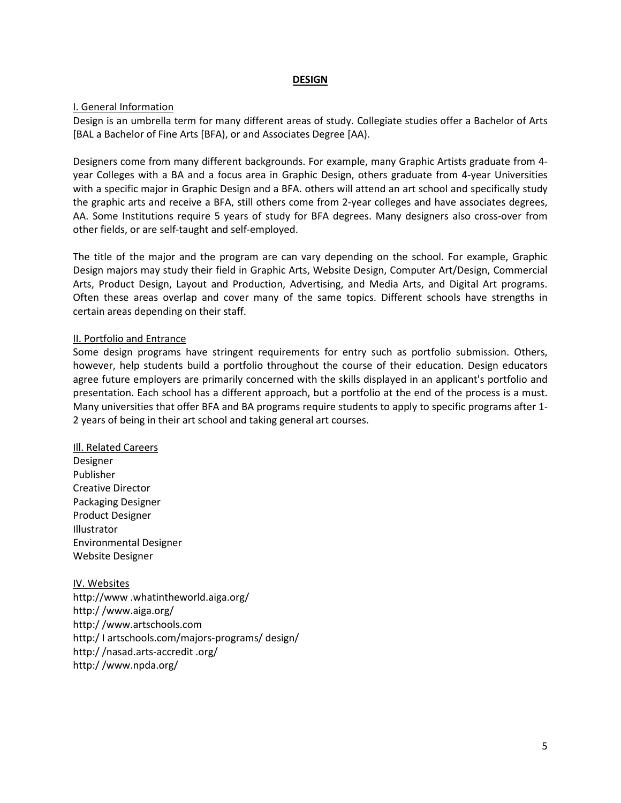### **DESIGN**

### I. General Information

Design is an umbrella term for many different areas of study. Collegiate studies offer a Bachelor of Arts [BAL a Bachelor of Fine Arts [BFA), or and Associates Degree [AA).

Designers come from many different backgrounds. For example, many Graphic Artists graduate from 4 year Colleges with a BA and a focus area in Graphic Design, others graduate from 4-year Universities with a specific major in Graphic Design and a BFA. others will attend an art school and specifically study the graphic arts and receive a BFA, still others come from 2-year colleges and have associates degrees, AA. Some Institutions require 5 years of study for BFA degrees. Many designers also cross-over from other fields, or are self-taught and self-employed.

The title of the major and the program are can vary depending on the school. For example, Graphic Design majors may study their field in Graphic Arts, Website Design, Computer Art/Design, Commercial Arts, Product Design, Layout and Production, Advertising, and Media Arts, and Digital Art programs. Often these areas overlap and cover many of the same topics. Different schools have strengths in certain areas depending on their staff.

### II. Portfolio and Entrance

Some design programs have stringent requirements for entry such as portfolio submission. Others, however, help students build a portfolio throughout the course of their education. Design educators agree future employers are primarily concerned with the skills displayed in an applicant's portfolio and presentation. Each school has a different approach, but a portfolio at the end of the process is a must. Many universities that offer BFA and BA programs require students to apply to specific programs after 1- 2 years of being in their art school and taking general art courses.

#### III. Related Careers

Designer Publisher Creative Director Packaging Designer Product Designer Illustrator Environmental Designer Website Designer

IV. Websites http://www .whatintheworld.aiga.org/ http:/ /www.aiga.org/ http:/ /www.artschools.com http:/ I artschools.com/majors-programs/ design/ http:/ /nasad.arts-accredit .org/ http:/ /www.npda.org/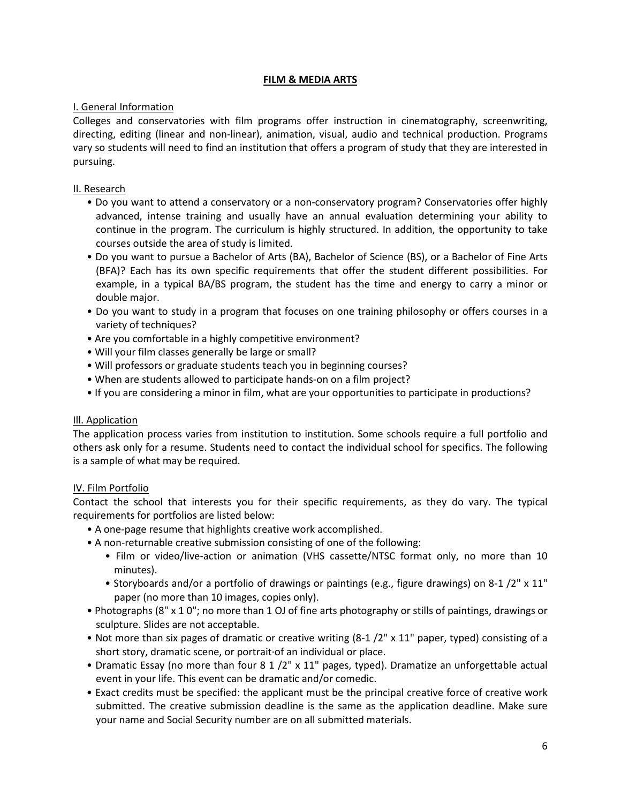# **FILM & MEDIA ARTS**

# I. General Information

Colleges and conservatories with film programs offer instruction in cinematography, screenwriting, directing, editing (linear and non-linear), animation, visual, audio and technical production. Programs vary so students will need to find an institution that offers a program of study that they are interested in pursuing.

# II. Research

- Do you want to attend a conservatory or a non-conservatory program? Conservatories offer highly advanced, intense training and usually have an annual evaluation determining your ability to continue in the program. The curriculum is highly structured. In addition, the opportunity to take courses outside the area of study is limited.
- Do you want to pursue a Bachelor of Arts (BA), Bachelor of Science (BS), or a Bachelor of Fine Arts (BFA)? Each has its own specific requirements that offer the student different possibilities. For example, in a typical BA/BS program, the student has the time and energy to carry a minor or double major.
- Do you want to study in a program that focuses on one training philosophy or offers courses in a variety of techniques?
- Are you comfortable in a highly competitive environment?
- Will your film classes generally be large or small?
- Will professors or graduate students teach you in beginning courses?
- When are students allowed to participate hands-on on a film project?
- If you are considering a minor in film, what are your opportunities to participate in productions?

# Ill. Application

The application process varies from institution to institution. Some schools require a full portfolio and others ask only for a resume. Students need to contact the individual school for specifics. The following is a sample of what may be required.

# IV. Film Portfolio

Contact the school that interests you for their specific requirements, as they do vary. The typical requirements for portfolios are listed below:

- A one-page resume that highlights creative work accomplished.
- A non-returnable creative submission consisting of one of the following:
	- Film or video/live-action or animation (VHS cassette/NTSC format only, no more than 10 minutes).
	- Storyboards and/or a portfolio of drawings or paintings (e.g., figure drawings) on 8-1 /2" x 11" paper (no more than 10 images, copies only).
- Photographs (8" x 1 0"; no more than 1 OJ of fine arts photography or stills of paintings, drawings or sculpture. Slides are not acceptable.
- Not more than six pages of dramatic or creative writing (8-1 /2" x 11" paper, typed) consisting of a short story, dramatic scene, or portrait·of an individual or place.
- Dramatic Essay (no more than four 8 1 /2" x 11" pages, typed). Dramatize an unforgettable actual event in your life. This event can be dramatic and/or comedic.
- Exact credits must be specified: the applicant must be the principal creative force of creative work submitted. The creative submission deadline is the same as the application deadline. Make sure your name and Social Security number are on all submitted materials.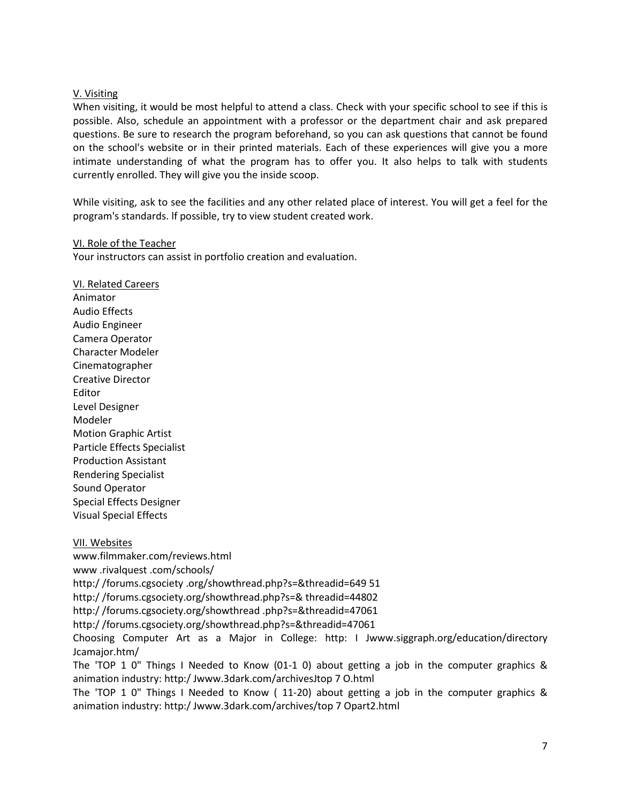### V. Visiting

When visiting, it would be most helpful to attend a class. Check with your specific school to see if this is possible. Also, schedule an appointment with a professor or the department chair and ask prepared questions. Be sure to research the program beforehand, so you can ask questions that cannot be found on the school's website or in their printed materials. Each of these experiences will give you a more intimate understanding of what the program has to offer you. It also helps to talk with students currently enrolled. They will give you the inside scoop.

While visiting, ask to see the facilities and any other related place of interest. You will get a feel for the program's standards. lf possible, try to view student created work.

#### VI. Role of the Teacher

Your instructors can assist in portfolio creation and evaluation.

VI. Related Careers Animator Audio Effects Audio Engineer Camera Operator Character Modeler Cinematographer Creative Director Editor Level Designer Modeler Motion Graphic Artist Particle Effects Specialist Production Assistant Rendering Specialist Sound Operator Special Effects Designer Visual Special Effects

VII. Websites www.filmmaker.com/reviews.html www .rivalquest .com/schools/ http:/ /forums.cgsociety .org/showthread.php?s=&threadid=649 51 http:/ /forums.cgsociety.org/showthread.php?s=& threadid=44802 http:/ /forums.cgsociety.org/showthread .php?s=&threadid=47061 http:/ /forums.cgsociety.org/showthread.php?s=&threadid=47061 Choosing Computer Art as a Major in College: http: I Jwww.siggraph.org/education/directory Jcamajor.htm/ The 'TOP 1 0" Things I Needed to Know (01-1 0) about getting a job in the computer graphics & animation industry: http:/ Jwww.3dark.com/archivesJtop 7 O.html

The 'TOP 1 0" Things I Needed to Know ( 11-20) about getting a job in the computer graphics & animation industry: http:/ Jwww.3dark.com/archives/top 7 Opart2.html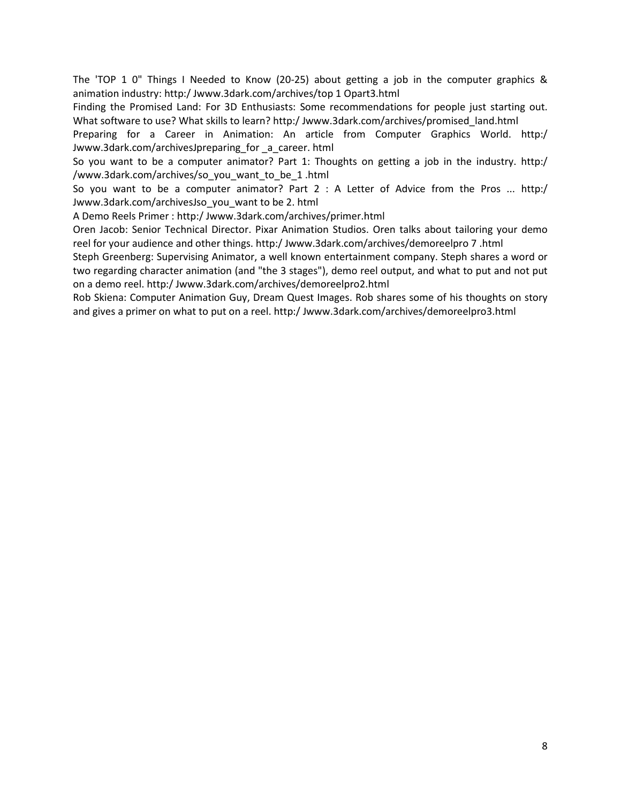The 'TOP 1 0" Things I Needed to Know (20-25) about getting a job in the computer graphics & animation industry: http:/ Jwww.3dark.com/archives/top 1 Opart3.html

Finding the Promised Land: For 3D Enthusiasts: Some recommendations for people just starting out. What software to use? What skills to learn? http:/ Jwww.3dark.com/archives/promised land.html

Preparing for a Career in Animation: An article from Computer Graphics World. http:/ Jwww.3dark.com/archivesJpreparing\_for \_a\_career. html

So you want to be a computer animator? Part 1: Thoughts on getting a job in the industry. http:/ /www.3dark.com/archives/so\_you\_want\_to\_be\_1 .html

So you want to be a computer animator? Part 2 : A Letter of Advice from the Pros ... http:/ Jwww.3dark.com/archivesJso\_you\_want to be 2. html

A Demo Reels Primer : http:/ Jwww.3dark.com/archives/primer.html

Oren Jacob: Senior Technical Director. Pixar Animation Studios. Oren talks about tailoring your demo reel for your audience and other things. http:/ Jwww.3dark.com/archives/demoreelpro 7 .html

Steph Greenberg: Supervising Animator, a well known entertainment company. Steph shares a word or two regarding character animation (and "the 3 stages"), demo reel output, and what to put and not put on a demo reel. http:/ Jwww.3dark.com/archives/demoreelpro2.html

Rob Skiena: Computer Animation Guy, Dream Quest Images. Rob shares some of his thoughts on story and gives a primer on what to put on a reel. http:/ Jwww.3dark.com/archives/demoreelpro3.html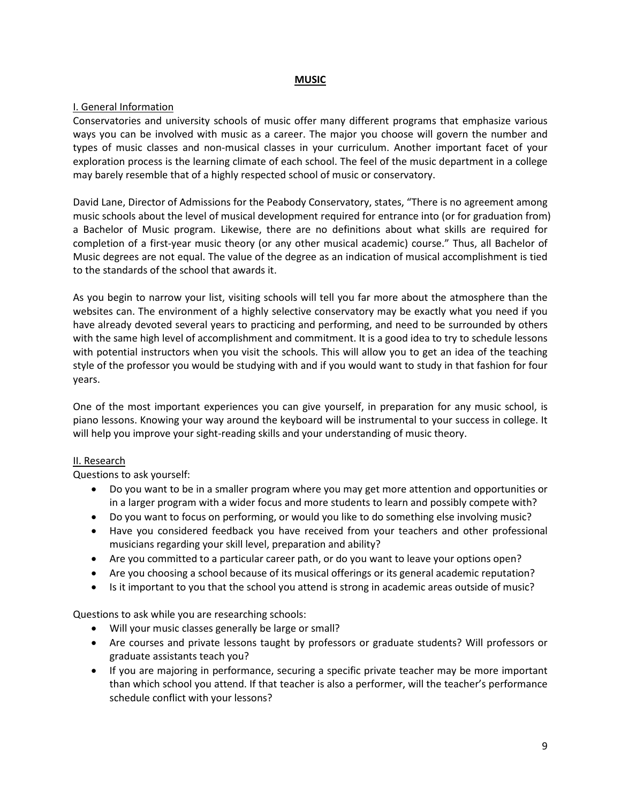# **MUSIC**

# I. General Information

Conservatories and university schools of music offer many different programs that emphasize various ways you can be involved with music as a career. The major you choose will govern the number and types of music classes and non-musical classes in your curriculum. Another important facet of your exploration process is the learning climate of each school. The feel of the music department in a college may barely resemble that of a highly respected school of music or conservatory.

David Lane, Director of Admissions for the Peabody Conservatory, states, "There is no agreement among music schools about the level of musical development required for entrance into (or for graduation from) a Bachelor of Music program. Likewise, there are no definitions about what skills are required for completion of a first-year music theory (or any other musical academic) course." Thus, all Bachelor of Music degrees are not equal. The value of the degree as an indication of musical accomplishment is tied to the standards of the school that awards it.

As you begin to narrow your list, visiting schools will tell you far more about the atmosphere than the websites can. The environment of a highly selective conservatory may be exactly what you need if you have already devoted several years to practicing and performing, and need to be surrounded by others with the same high level of accomplishment and commitment. It is a good idea to try to schedule lessons with potential instructors when you visit the schools. This will allow you to get an idea of the teaching style of the professor you would be studying with and if you would want to study in that fashion for four years.

One of the most important experiences you can give yourself, in preparation for any music school, is piano lessons. Knowing your way around the keyboard will be instrumental to your success in college. It will help you improve your sight-reading skills and your understanding of music theory.

# II. Research

Questions to ask yourself:

- Do you want to be in a smaller program where you may get more attention and opportunities or in a larger program with a wider focus and more students to learn and possibly compete with?
- Do you want to focus on performing, or would you like to do something else involving music?
- Have you considered feedback you have received from your teachers and other professional musicians regarding your skill level, preparation and ability?
- Are you committed to a particular career path, or do you want to leave your options open?
- Are you choosing a school because of its musical offerings or its general academic reputation?
- Is it important to you that the school you attend is strong in academic areas outside of music?

Questions to ask while you are researching schools:

- Will your music classes generally be large or small?
- Are courses and private lessons taught by professors or graduate students? Will professors or graduate assistants teach you?
- If you are majoring in performance, securing a specific private teacher may be more important than which school you attend. If that teacher is also a performer, will the teacher's performance schedule conflict with your lessons?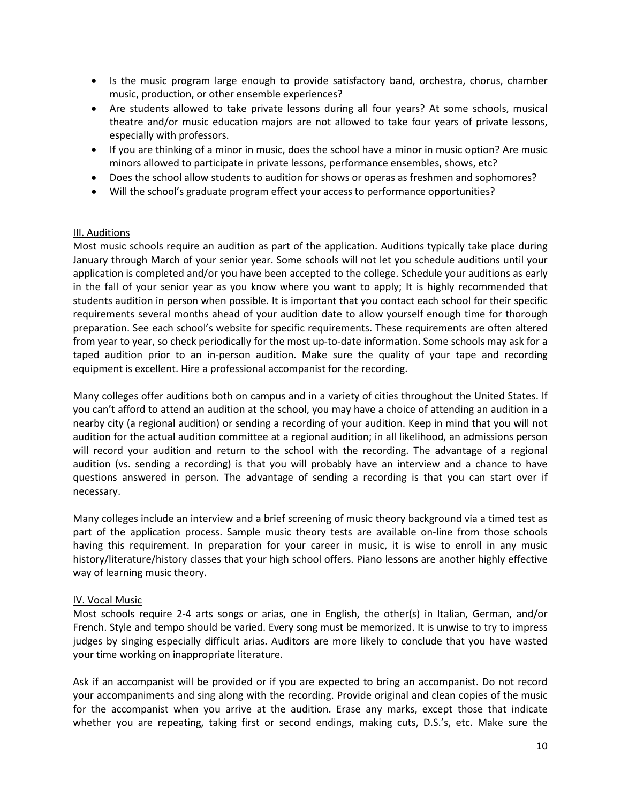- Is the music program large enough to provide satisfactory band, orchestra, chorus, chamber music, production, or other ensemble experiences?
- Are students allowed to take private lessons during all four years? At some schools, musical theatre and/or music education majors are not allowed to take four years of private lessons, especially with professors.
- If you are thinking of a minor in music, does the school have a minor in music option? Are music minors allowed to participate in private lessons, performance ensembles, shows, etc?
- Does the school allow students to audition for shows or operas as freshmen and sophomores?
- Will the school's graduate program effect your access to performance opportunities?

### III. Auditions

Most music schools require an audition as part of the application. Auditions typically take place during January through March of your senior year. Some schools will not let you schedule auditions until your application is completed and/or you have been accepted to the college. Schedule your auditions as early in the fall of your senior year as you know where you want to apply; It is highly recommended that students audition in person when possible. It is important that you contact each school for their specific requirements several months ahead of your audition date to allow yourself enough time for thorough preparation. See each school's website for specific requirements. These requirements are often altered from year to year, so check periodically for the most up-to-date information. Some schools may ask for a taped audition prior to an in-person audition. Make sure the quality of your tape and recording equipment is excellent. Hire a professional accompanist for the recording.

Many colleges offer auditions both on campus and in a variety of cities throughout the United States. If you can't afford to attend an audition at the school, you may have a choice of attending an audition in a nearby city (a regional audition) or sending a recording of your audition. Keep in mind that you will not audition for the actual audition committee at a regional audition; in all likelihood, an admissions person will record your audition and return to the school with the recording. The advantage of a regional audition (vs. sending a recording) is that you will probably have an interview and a chance to have questions answered in person. The advantage of sending a recording is that you can start over if necessary.

Many colleges include an interview and a brief screening of music theory background via a timed test as part of the application process. Sample music theory tests are available on-line from those schools having this requirement. In preparation for your career in music, it is wise to enroll in any music history/literature/history classes that your high school offers. Piano lessons are another highly effective way of learning music theory.

#### IV. Vocal Music

Most schools require 2-4 arts songs or arias, one in English, the other(s) in Italian, German, and/or French. Style and tempo should be varied. Every song must be memorized. It is unwise to try to impress judges by singing especially difficult arias. Auditors are more likely to conclude that you have wasted your time working on inappropriate literature.

Ask if an accompanist will be provided or if you are expected to bring an accompanist. Do not record your accompaniments and sing along with the recording. Provide original and clean copies of the music for the accompanist when you arrive at the audition. Erase any marks, except those that indicate whether you are repeating, taking first or second endings, making cuts, D.S.'s, etc. Make sure the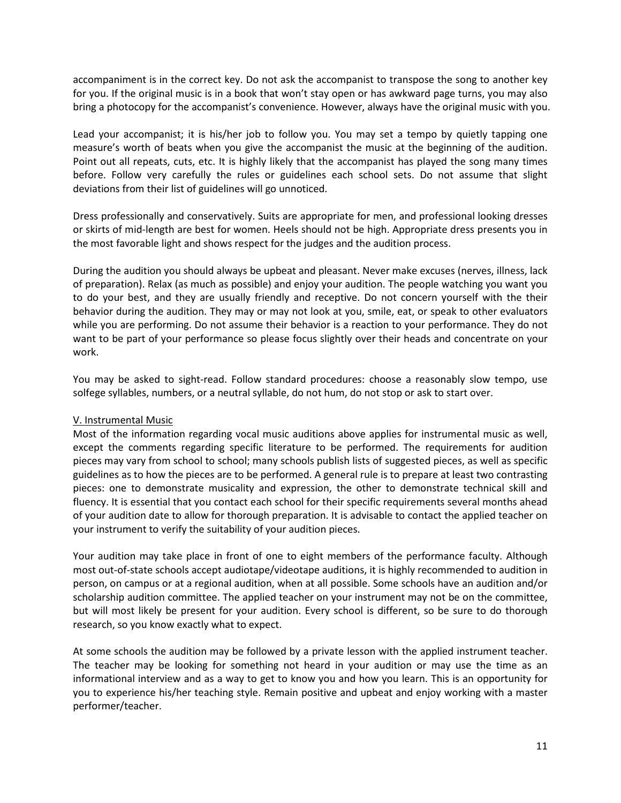accompaniment is in the correct key. Do not ask the accompanist to transpose the song to another key for you. If the original music is in a book that won't stay open or has awkward page turns, you may also bring a photocopy for the accompanist's convenience. However, always have the original music with you.

Lead your accompanist; it is his/her job to follow you. You may set a tempo by quietly tapping one measure's worth of beats when you give the accompanist the music at the beginning of the audition. Point out all repeats, cuts, etc. It is highly likely that the accompanist has played the song many times before. Follow very carefully the rules or guidelines each school sets. Do not assume that slight deviations from their list of guidelines will go unnoticed.

Dress professionally and conservatively. Suits are appropriate for men, and professional looking dresses or skirts of mid-length are best for women. Heels should not be high. Appropriate dress presents you in the most favorable light and shows respect for the judges and the audition process.

During the audition you should always be upbeat and pleasant. Never make excuses (nerves, illness, lack of preparation). Relax (as much as possible) and enjoy your audition. The people watching you want you to do your best, and they are usually friendly and receptive. Do not concern yourself with the their behavior during the audition. They may or may not look at you, smile, eat, or speak to other evaluators while you are performing. Do not assume their behavior is a reaction to your performance. They do not want to be part of your performance so please focus slightly over their heads and concentrate on your work.

You may be asked to sight-read. Follow standard procedures: choose a reasonably slow tempo, use solfege syllables, numbers, or a neutral syllable, do not hum, do not stop or ask to start over.

# V. Instrumental Music

Most of the information regarding vocal music auditions above applies for instrumental music as well, except the comments regarding specific literature to be performed. The requirements for audition pieces may vary from school to school; many schools publish lists of suggested pieces, as well as specific guidelines as to how the pieces are to be performed. A general rule is to prepare at least two contrasting pieces: one to demonstrate musicality and expression, the other to demonstrate technical skill and fluency. It is essential that you contact each school for their specific requirements several months ahead of your audition date to allow for thorough preparation. It is advisable to contact the applied teacher on your instrument to verify the suitability of your audition pieces.

Your audition may take place in front of one to eight members of the performance faculty. Although most out-of-state schools accept audiotape/videotape auditions, it is highly recommended to audition in person, on campus or at a regional audition, when at all possible. Some schools have an audition and/or scholarship audition committee. The applied teacher on your instrument may not be on the committee, but will most likely be present for your audition. Every school is different, so be sure to do thorough research, so you know exactly what to expect.

At some schools the audition may be followed by a private lesson with the applied instrument teacher. The teacher may be looking for something not heard in your audition or may use the time as an informational interview and as a way to get to know you and how you learn. This is an opportunity for you to experience his/her teaching style. Remain positive and upbeat and enjoy working with a master performer/teacher.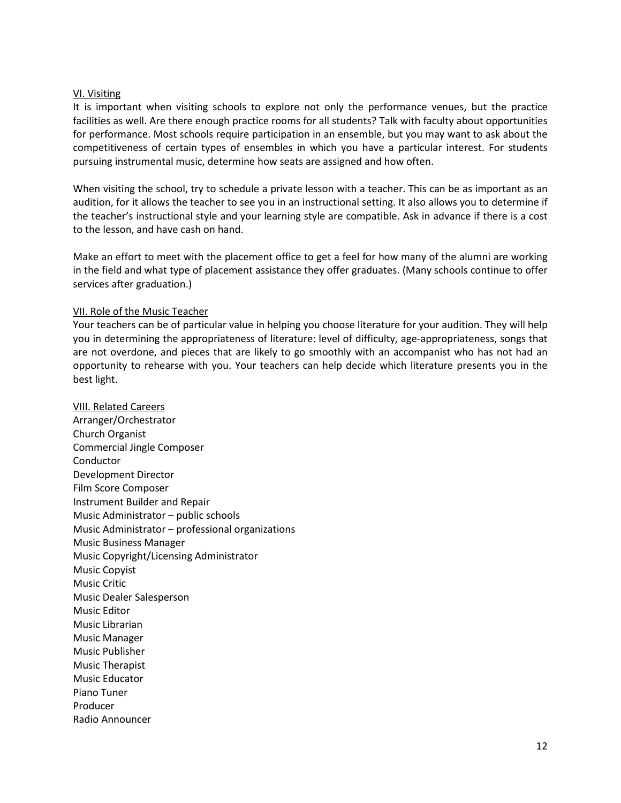#### VI. Visiting

It is important when visiting schools to explore not only the performance venues, but the practice facilities as well. Are there enough practice rooms for all students? Talk with faculty about opportunities for performance. Most schools require participation in an ensemble, but you may want to ask about the competitiveness of certain types of ensembles in which you have a particular interest. For students pursuing instrumental music, determine how seats are assigned and how often.

When visiting the school, try to schedule a private lesson with a teacher. This can be as important as an audition, for it allows the teacher to see you in an instructional setting. It also allows you to determine if the teacher's instructional style and your learning style are compatible. Ask in advance if there is a cost to the lesson, and have cash on hand.

Make an effort to meet with the placement office to get a feel for how many of the alumni are working in the field and what type of placement assistance they offer graduates. (Many schools continue to offer services after graduation.)

# VII. Role of the Music Teacher

Your teachers can be of particular value in helping you choose literature for your audition. They will help you in determining the appropriateness of literature: level of difficulty, age-appropriateness, songs that are not overdone, and pieces that are likely to go smoothly with an accompanist who has not had an opportunity to rehearse with you. Your teachers can help decide which literature presents you in the best light.

VIII. Related Careers Arranger/Orchestrator Church Organist Commercial Jingle Composer Conductor Development Director Film Score Composer Instrument Builder and Repair Music Administrator – public schools Music Administrator – professional organizations Music Business Manager Music Copyright/Licensing Administrator Music Copyist Music Critic Music Dealer Salesperson Music Editor Music Librarian Music Manager Music Publisher Music Therapist Music Educator Piano Tuner Producer Radio Announcer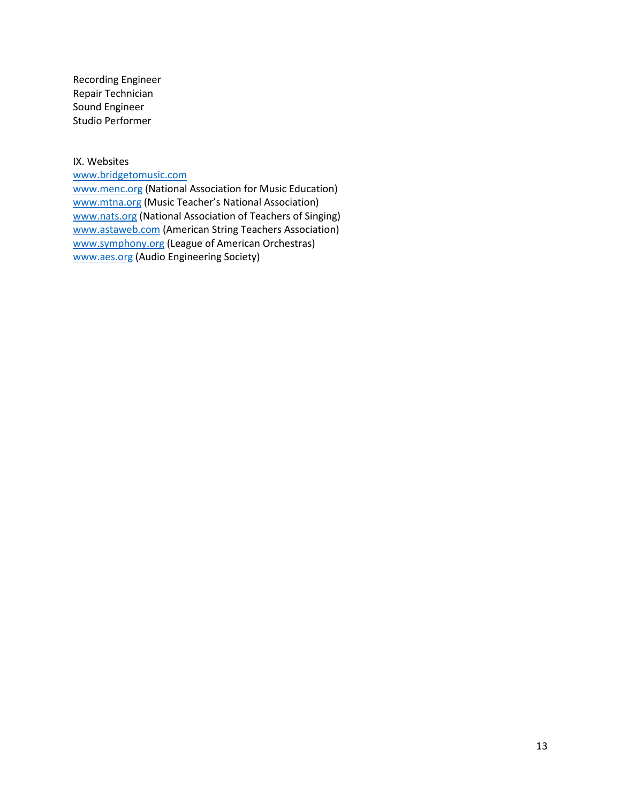Recording Engineer Repair Technician Sound Engineer Studio Performer

IX. Websites

[www.bridgetomusic.com](http://www.bridgetomusic.com/)

[www.menc.org](http://www.menc.org/) (National Association for Music Education) [www.mtna.org](http://www.mtna.org/) (Music Teacher's National Association) [www.nats.org](http://www.nats.org/) (National Association of Teachers of Singing) [www.astaweb.com](http://www.astaweb.com/) (American String Teachers Association) [www.symphony.org](http://www.symphony.org/) (League of American Orchestras) [www.aes.org](http://www.aes.org/) (Audio Engineering Society)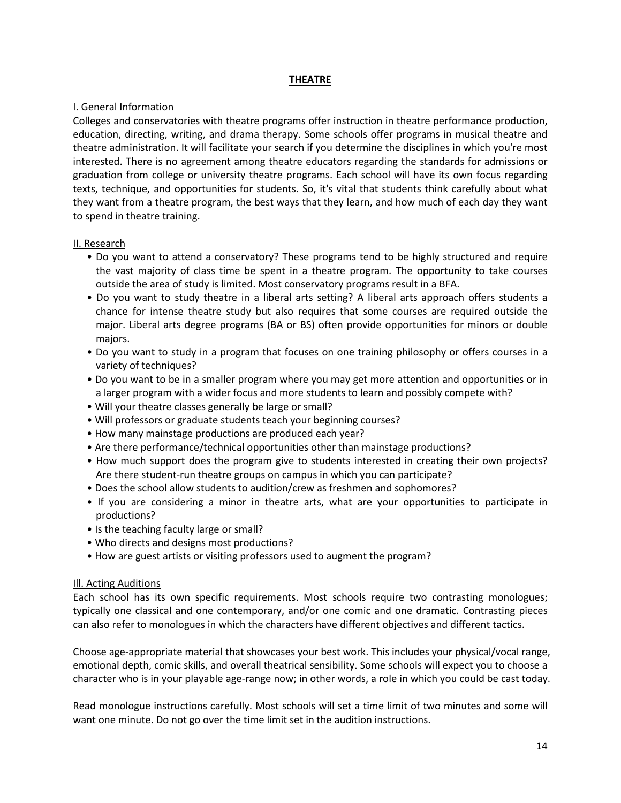# **THEATRE**

### I. General Information

Colleges and conservatories with theatre programs offer instruction in theatre performance production, education, directing, writing, and drama therapy. Some schools offer programs in musical theatre and theatre administration. It will facilitate your search if you determine the disciplines in which you're most interested. There is no agreement among theatre educators regarding the standards for admissions or graduation from college or university theatre programs. Each school will have its own focus regarding texts, technique, and opportunities for students. So, it's vital that students think carefully about what they want from a theatre program, the best ways that they learn, and how much of each day they want to spend in theatre training.

### II. Research

- Do you want to attend a conservatory? These programs tend to be highly structured and require the vast majority of class time be spent in a theatre program. The opportunity to take courses outside the area of study is limited. Most conservatory programs result in a BFA.
- Do you want to study theatre in a liberal arts setting? A liberal arts approach offers students a chance for intense theatre study but also requires that some courses are required outside the major. Liberal arts degree programs (BA or BS) often provide opportunities for minors or double majors.
- Do you want to study in a program that focuses on one training philosophy or offers courses in a variety of techniques?
- Do you want to be in a smaller program where you may get more attention and opportunities or in a larger program with a wider focus and more students to learn and possibly compete with?
- Will your theatre classes generally be large or small?
- Will professors or graduate students teach your beginning courses?
- How many mainstage productions are produced each year?
- Are there performance/technical opportunities other than mainstage productions?
- How much support does the program give to students interested in creating their own projects? Are there student-run theatre groups on campus in which you can participate?
- Does the school allow students to audition/crew as freshmen and sophomores?
- If you are considering a minor in theatre arts, what are your opportunities to participate in productions?
- Is the teaching faculty large or small?
- Who directs and designs most productions?
- How are guest artists or visiting professors used to augment the program?

# Ill. Acting Auditions

Each school has its own specific requirements. Most schools require two contrasting monologues; typically one classical and one contemporary, and/or one comic and one dramatic. Contrasting pieces can also refer to monologues in which the characters have different objectives and different tactics.

Choose age-appropriate material that showcases your best work. This includes your physical/vocal range, emotional depth, comic skills, and overall theatrical sensibility. Some schools will expect you to choose a character who is in your playable age-range now; in other words, a role in which you could be cast today.

Read monologue instructions carefully. Most schools will set a time limit of two minutes and some will want one minute. Do not go over the time limit set in the audition instructions.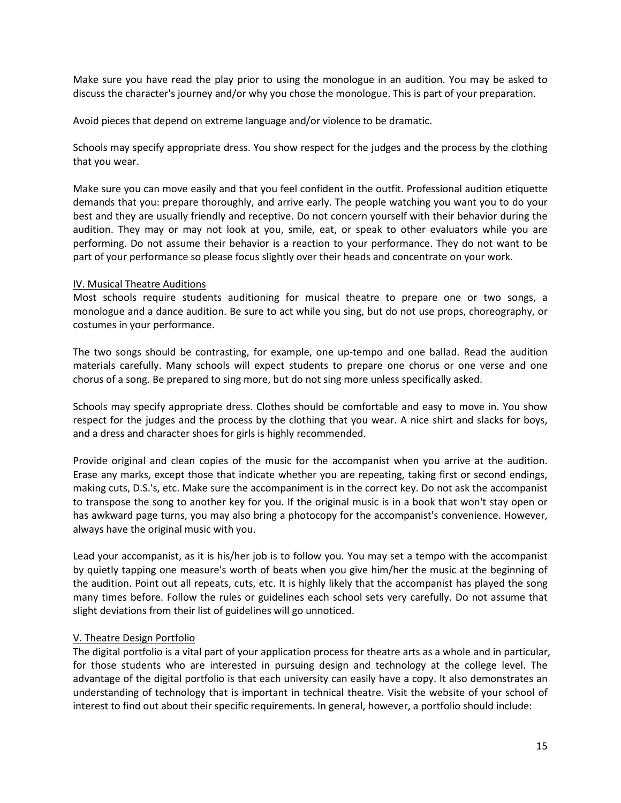Make sure you have read the play prior to using the monologue in an audition. You may be asked to discuss the character's journey and/or why you chose the monologue. This is part of your preparation.

Avoid pieces that depend on extreme language and/or violence to be dramatic.

Schools may specify appropriate dress. You show respect for the judges and the process by the clothing that you wear.

Make sure you can move easily and that you feel confident in the outfit. Professional audition etiquette demands that you: prepare thoroughly, and arrive early. The people watching you want you to do your best and they are usually friendly and receptive. Do not concern yourself with their behavior during the audition. They may or may not look at you, smile, eat, or speak to other evaluators while you are performing. Do not assume their behavior is a reaction to your performance. They do not want to be part of your performance so please focus slightly over their heads and concentrate on your work.

# IV. Musical Theatre Auditions

Most schools require students auditioning for musical theatre to prepare one or two songs, a monologue and a dance audition. Be sure to act while you sing, but do not use props, choreography, or costumes in your performance.

The two songs should be contrasting, for example, one up-tempo and one ballad. Read the audition materials carefully. Many schools will expect students to prepare one chorus or one verse and one chorus of a song. Be prepared to sing more, but do not sing more unless specifically asked.

Schools may specify appropriate dress. Clothes should be comfortable and easy to move in. You show respect for the judges and the process by the clothing that you wear. A nice shirt and slacks for boys, and a dress and character shoes for girls is highly recommended.

Provide original and clean copies of the music for the accompanist when you arrive at the audition. Erase any marks, except those that indicate whether you are repeating, taking first or second endings, making cuts, D.S.'s, etc. Make sure the accompaniment is in the correct key. Do not ask the accompanist to transpose the song to another key for you. If the original music is in a book that won't stay open or has awkward page turns, you may also bring a photocopy for the accompanist's convenience. However, always have the original music with you.

Lead your accompanist, as it is his/her job is to follow you. You may set a tempo with the accompanist by quietly tapping one measure's worth of beats when you give him/her the music at the beginning of the audition. Point out all repeats, cuts, etc. It is highly likely that the accompanist has played the song many times before. Follow the rules or guidelines each school sets very carefully. Do not assume that slight deviations from their list of guidelines will go unnoticed.

# V. Theatre Design Portfolio

The digital portfolio is a vital part of your application process for theatre arts as a whole and in particular, for those students who are interested in pursuing design and technology at the college level. The advantage of the digital portfolio is that each university can easily have a copy. It also demonstrates an understanding of technology that is important in technical theatre. Visit the website of your school of interest to find out about their specific requirements. In general, however, a portfolio should include: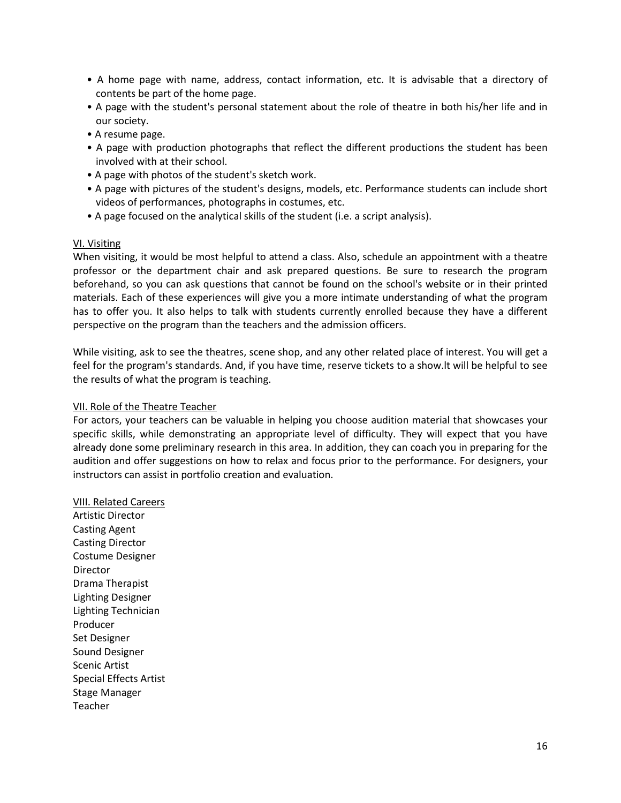- A home page with name, address, contact information, etc. It is advisable that a directory of contents be part of the home page.
- A page with the student's personal statement about the role of theatre in both his/her life and in our society.
- A resume page.
- A page with production photographs that reflect the different productions the student has been involved with at their school.
- A page with photos of the student's sketch work.
- A page with pictures of the student's designs, models, etc. Performance students can include short videos of performances, photographs in costumes, etc.
- A page focused on the analytical skills of the student (i.e. a script analysis).

#### VI. Visiting

When visiting, it would be most helpful to attend a class. Also, schedule an appointment with a theatre professor or the department chair and ask prepared questions. Be sure to research the program beforehand, so you can ask questions that cannot be found on the school's website or in their printed materials. Each of these experiences will give you a more intimate understanding of what the program has to offer you. It also helps to talk with students currently enrolled because they have a different perspective on the program than the teachers and the admission officers.

While visiting, ask to see the theatres, scene shop, and any other related place of interest. You will get a feel for the program's standards. And, if you have time, reserve tickets to a show.lt will be helpful to see the results of what the program is teaching.

#### VII. Role of the Theatre Teacher

For actors, your teachers can be valuable in helping you choose audition material that showcases your specific skills, while demonstrating an appropriate level of difficulty. They will expect that you have already done some preliminary research in this area. In addition, they can coach you in preparing for the audition and offer suggestions on how to relax and focus prior to the performance. For designers, your instructors can assist in portfolio creation and evaluation.

VIII. Related Careers Artistic Director Casting Agent Casting Director Costume Designer Director Drama Therapist Lighting Designer Lighting Technician Producer Set Designer Sound Designer Scenic Artist Special Effects Artist Stage Manager Teacher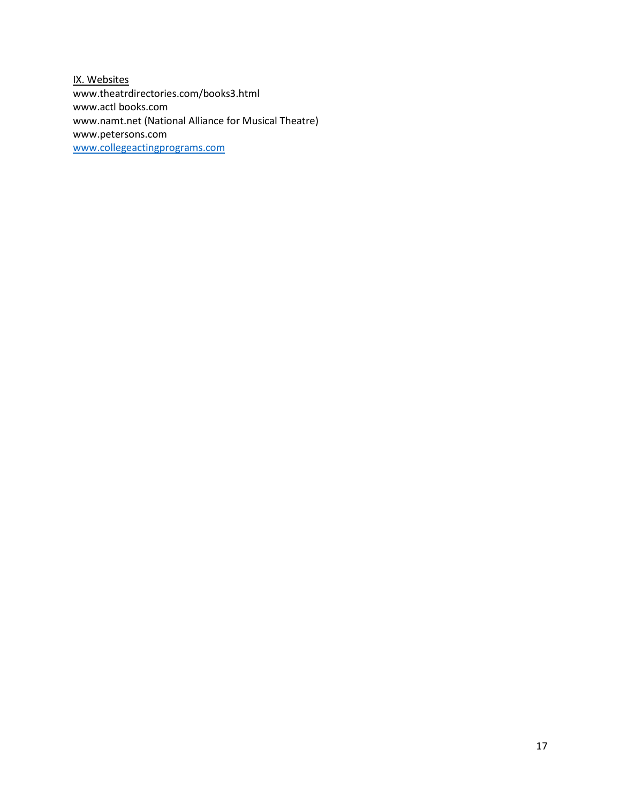IX. Websites www.theatrdirectories.com/books3.html www.actl books.com www.namt.net (National Alliance for Musical Theatre) www.petersons.com [www.collegeactingprograms.com](http://www.collegeactingprograms.com/)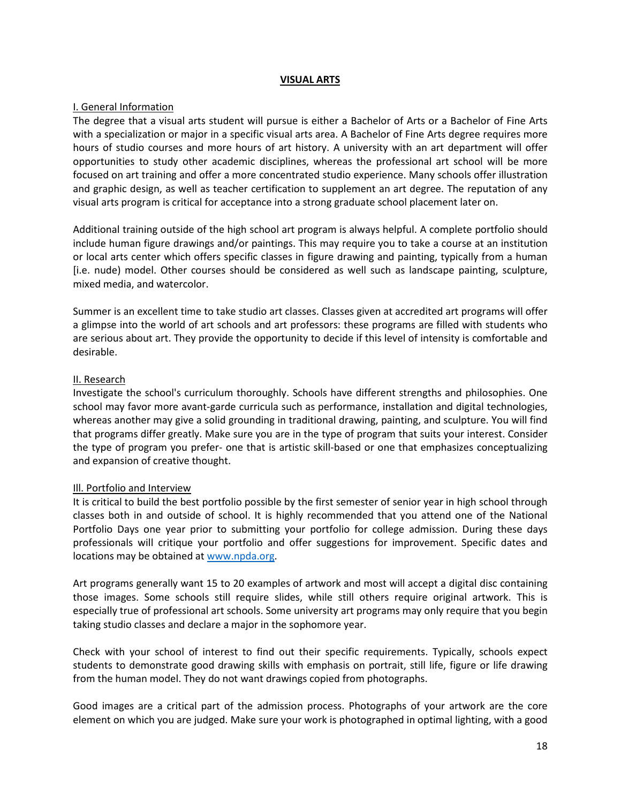#### **VISUAL ARTS**

# I. General Information

The degree that a visual arts student will pursue is either a Bachelor of Arts or a Bachelor of Fine Arts with a specialization or major in a specific visual arts area. A Bachelor of Fine Arts degree requires more hours of studio courses and more hours of art history. A university with an art department will offer opportunities to study other academic disciplines, whereas the professional art school will be more focused on art training and offer a more concentrated studio experience. Many schools offer illustration and graphic design, as well as teacher certification to supplement an art degree. The reputation of any visual arts program is critical for acceptance into a strong graduate school placement later on.

Additional training outside of the high school art program is always helpful. A complete portfolio should include human figure drawings and/or paintings. This may require you to take a course at an institution or local arts center which offers specific classes in figure drawing and painting, typically from a human [i.e. nude) model. Other courses should be considered as well such as landscape painting, sculpture, mixed media, and watercolor.

Summer is an excellent time to take studio art classes. Classes given at accredited art programs will offer a glimpse into the world of art schools and art professors: these programs are filled with students who are serious about art. They provide the opportunity to decide if this level of intensity is comfortable and desirable.

# II. Research

Investigate the school's curriculum thoroughly. Schools have different strengths and philosophies. One school may favor more avant-garde curricula such as performance, installation and digital technologies, whereas another may give a solid grounding in traditional drawing, painting, and sculpture. You will find that programs differ greatly. Make sure you are in the type of program that suits your interest. Consider the type of program you prefer- one that is artistic skill-based or one that emphasizes conceptualizing and expansion of creative thought.

# Ill. Portfolio and Interview

It is critical to build the best portfolio possible by the first semester of senior year in high school through classes both in and outside of school. It is highly recommended that you attend one of the National Portfolio Days one year prior to submitting your portfolio for college admission. During these days professionals will critique your portfolio and offer suggestions for improvement. Specific dates and locations may be obtained at [www.npda.org.](http://www.npda.org/)

Art programs generally want 15 to 20 examples of artwork and most will accept a digital disc containing those images. Some schools still require slides, while still others require original artwork. This is especially true of professional art schools. Some university art programs may only require that you begin taking studio classes and declare a major in the sophomore year.

Check with your school of interest to find out their specific requirements. Typically, schools expect students to demonstrate good drawing skills with emphasis on portrait, still life, figure or life drawing from the human model. They do not want drawings copied from photographs.

Good images are a critical part of the admission process. Photographs of your artwork are the core element on which you are judged. Make sure your work is photographed in optimal lighting, with a good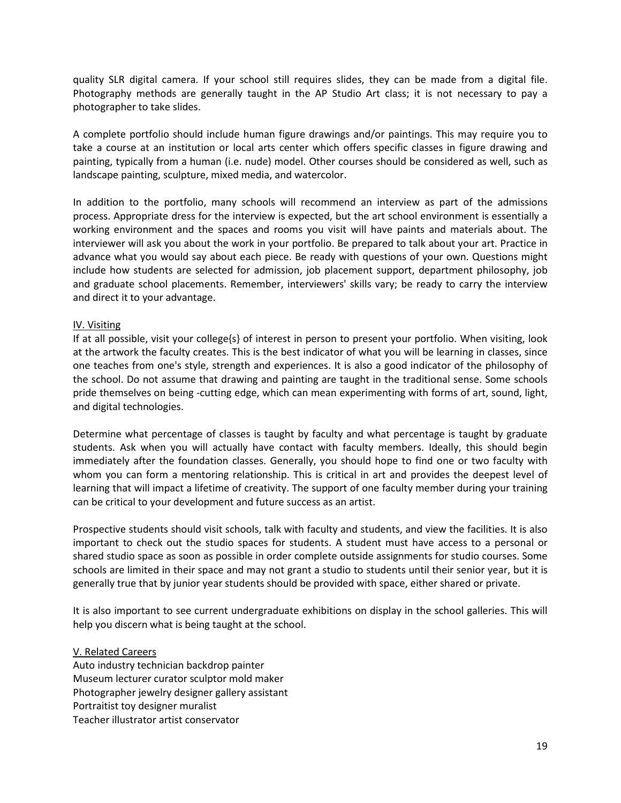quality SLR digital camera. If your school still requires slides, they can be made from a digital file. Photography methods are generally taught in the AP Studio Art class; it is not necessary to pay a photographer to take slides.

A complete portfolio should include human figure drawings and/or paintings. This may require you to take a course at an institution or local arts center which offers specific classes in figure drawing and painting, typically from a human (i.e. nude) model. Other courses should be considered as well, such as landscape painting, sculpture, mixed media, and watercolor.

In addition to the portfolio, many schools will recommend an interview as part of the admissions process. Appropriate dress for the interview is expected, but the art school environment is essentially a working environment and the spaces and rooms you visit will have paints and materials about. The interviewer will ask you about the work in your portfolio. Be prepared to talk about your art. Practice in advance what you would say about each piece. Be ready with questions of your own. Questions might include how students are selected for admission, job placement support, department philosophy, job and graduate school placements. Remember, interviewers' skills vary; be ready to carry the interview and direct it to your advantage.

### IV. Visiting

If at all possible, visit your college{s} of interest in person to present your portfolio. When visiting, look at the artwork the faculty creates. This is the best indicator of what you will be learning in classes, since one teaches from one's style, strength and experiences. It is also a good indicator of the philosophy of the school. Do not assume that drawing and painting are taught in the traditional sense. Some schools pride themselves on being -cutting edge, which can mean experimenting with forms of art, sound, light, and digital technologies.

Determine what percentage of classes is taught by faculty and what percentage is taught by graduate students. Ask when you will actually have contact with faculty members. Ideally, this should begin immediately after the foundation classes. Generally, you should hope to find one or two faculty with whom you can form a mentoring relationship. This is critical in art and provides the deepest level of learning that will impact a lifetime of creativity. The support of one faculty member during your training can be critical to your development and future success as an artist.

Prospective students should visit schools, talk with faculty and students, and view the facilities. It is also important to check out the studio spaces for students. A student must have access to a personal or shared studio space as soon as possible in order complete outside assignments for studio courses. Some schools are limited in their space and may not grant a studio to students until their senior year, but it is generally true that by junior year students should be provided with space, either shared or private.

It is also important to see current undergraduate exhibitions on display in the school galleries. This will help you discern what is being taught at the school.

# V. Related Careers

Auto industry technician backdrop painter Museum lecturer curator sculptor mold maker Photographer jewelry designer gallery assistant Portraitist toy designer muralist Teacher illustrator artist conservator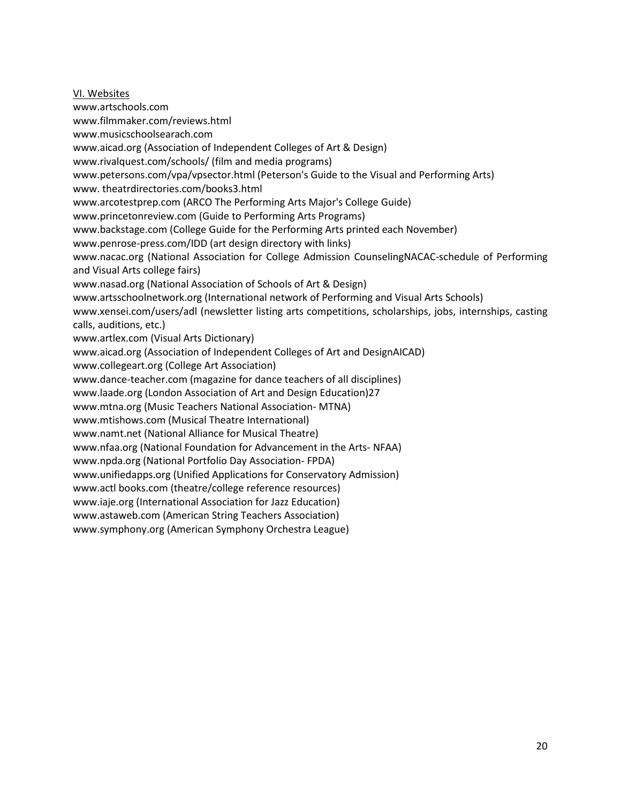VI. Websites www.artschools.com www.filmmaker.com/reviews.html www.musicschoolsearach.com www.aicad.org (Association of Independent Colleges of Art & Design) www.rivalquest.com/schools/ (film and media programs) www.petersons.com/vpa/vpsector.html (Peterson's Guide to the Visual and Performing Arts) www. theatrdirectories.com/books3.html www.arcotestprep.com (ARCO The Performing Arts Major's College Guide) www.princetonreview.com (Guide to Performing Arts Programs) www.backstage.com (College Guide for the Performing Arts printed each November) www.penrose-press.com/IDD (art design directory with links) www.nacac.org (National Association for College Admission CounselingNACAC-schedule of Performing and Visual Arts college fairs) www.nasad.org (National Association of Schools of Art & Design) www.artsschoolnetwork.org (International network of Performing and Visual Arts Schools) www.xensei.com/users/adl (newsletter listing arts competitions, scholarships, jobs, internships, casting calls, auditions, etc.) www.artlex.com (Visual Arts Dictionary) www.aicad.org (Association of Independent Colleges of Art and DesignAICAD) www.collegeart.org (College Art Association) www.dance-teacher.com (magazine for dance teachers of all disciplines) www.laade.org (London Association of Art and Design Education)27 www.mtna.org (Music Teachers National Association- MTNA) www.mtishows.com (Musical Theatre International) www.namt.net (National Alliance for Musical Theatre) www.nfaa.org (National Foundation for Advancement in the Arts- NFAA) www.npda.org (National Portfolio Day Association- FPDA) www.unifiedapps.org (Unified Applications for Conservatory Admission) www.actl books.com (theatre/college reference resources) www.iaje.org (International Association for Jazz Education) www.astaweb.com (American String Teachers Association) www.symphony.org (American Symphony Orchestra League)